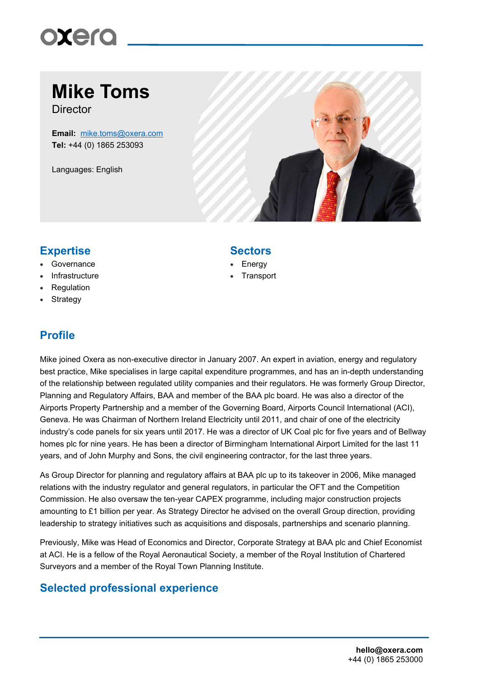# oxero

## **Mike Toms**

**Director** 

**Email:** mike.toms@oxera.com **Tel:** +44 (0) 1865 253093

Languages: English



### **Expertise Sectors**

- Governance
- Infrastructure
- Regulation
- Strategy

### **Profile**

### Mike joined Oxera as non-executive director in January 2007. An expert in aviation, energy and regulatory best practice, Mike specialises in large capital expenditure programmes, and has an in-depth understanding of the relationship between regulated utility companies and their regulators. He was formerly Group Director, Planning and Regulatory Affairs, BAA and member of the BAA plc board. He was also a director of the Airports Property Partnership and a member of the Governing Board, Airports Council International (ACI), Geneva. He was Chairman of Northern Ireland Electricity until 2011, and chair of one of the electricity industry's code panels for six years until 2017. He was a director of UK Coal plc for five years and of Bellway homes plc for nine years. He has been a director of Birmingham International Airport Limited for the last 11 years, and of John Murphy and Sons, the civil engineering contractor, for the last three years.

As Group Director for planning and regulatory affairs at BAA plc up to its takeover in 2006, Mike managed relations with the industry regulator and general regulators, in particular the OFT and the Competition Commission. He also oversaw the ten-year CAPEX programme, including major construction projects amounting to £1 billion per year. As Strategy Director he advised on the overall Group direction, providing leadership to strategy initiatives such as acquisitions and disposals, partnerships and scenario planning.

Previously, Mike was Head of Economics and Director, Corporate Strategy at BAA plc and Chief Economist at ACI. He is a fellow of the Royal Aeronautical Society, a member of the Royal Institution of Chartered Surveyors and a member of the Royal Town Planning Institute.

### **Selected professional experience**

**Energy Transport**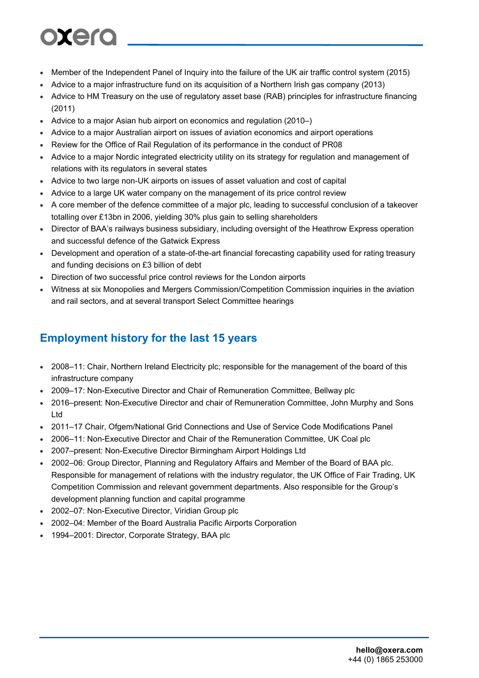# oxero

- Member of the Independent Panel of Inquiry into the failure of the UK air traffic control system (2015)
- Advice to a major infrastructure fund on its acquisition of a Northern Irish gas company (2013)
- Advice to HM Treasury on the use of regulatory asset base (RAB) principles for infrastructure financing (2011)
- Advice to a major Asian hub airport on economics and regulation (2010–)
- Advice to a major Australian airport on issues of aviation economics and airport operations
- Review for the Office of Rail Regulation of its performance in the conduct of PR08
- Advice to a major Nordic integrated electricity utility on its strategy for regulation and management of relations with its regulators in several states
- Advice to two large non-UK airports on issues of asset valuation and cost of capital
- Advice to a large UK water company on the management of its price control review
- A core member of the defence committee of a major plc, leading to successful conclusion of a takeover totalling over £13bn in 2006, yielding 30% plus gain to selling shareholders
- Director of BAA's railways business subsidiary, including oversight of the Heathrow Express operation and successful defence of the Gatwick Express
- Development and operation of a state-of-the-art financial forecasting capability used for rating treasury and funding decisions on £3 billion of debt
- Direction of two successful price control reviews for the London airports
- Witness at six Monopolies and Mergers Commission/Competition Commission inquiries in the aviation and rail sectors, and at several transport Select Committee hearings

### **Employment history for the last 15 years**

- 2008–11: Chair, Northern Ireland Electricity plc; responsible for the management of the board of this infrastructure company
- 2009–17: Non-Executive Director and Chair of Remuneration Committee, Bellway plc
- 2016–present: Non-Executive Director and chair of Remuneration Committee, John Murphy and Sons Ltd
- 2011–17 Chair, Ofgem/National Grid Connections and Use of Service Code Modifications Panel
- 2006–11: Non-Executive Director and Chair of the Remuneration Committee, UK Coal plc
- 2007–present: Non-Executive Director Birmingham Airport Holdings Ltd
- 2002–06: Group Director, Planning and Regulatory Affairs and Member of the Board of BAA plc. Responsible for management of relations with the industry regulator, the UK Office of Fair Trading, UK Competition Commission and relevant government departments. Also responsible for the Group's development planning function and capital programme
- 2002–07: Non-Executive Director, Viridian Group plc
- 2002–04: Member of the Board Australia Pacific Airports Corporation
- 1994–2001: Director, Corporate Strategy, BAA plc